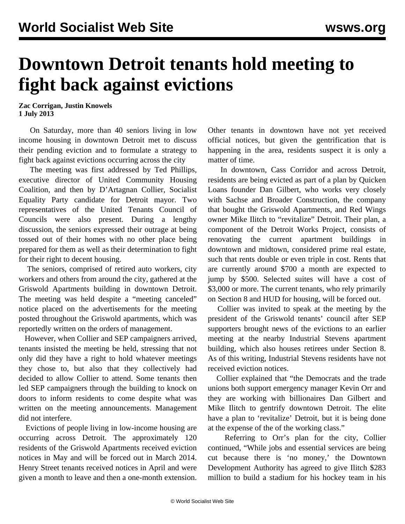## **Downtown Detroit tenants hold meeting to fight back against evictions**

**Zac Corrigan, Justin Knowels 1 July 2013**

 On Saturday, more than 40 seniors living in low income housing in downtown Detroit met to discuss their pending eviction and to formulate a strategy to fight back against evictions occurring across the city

 The meeting was first addressed by Ted Phillips, executive director of United Community Housing Coalition, and then by D'Artagnan Collier, Socialist Equality Party candidate for Detroit mayor. Two representatives of the United Tenants Council of Councils were also present. During a lengthy discussion, the seniors expressed their outrage at being tossed out of their homes with no other place being prepared for them as well as their determination to fight for their right to decent housing.

 The seniors, comprised of retired auto workers, city workers and others from around the city, gathered at the Griswold Apartments building in downtown Detroit. The meeting was held despite a "meeting canceled" notice placed on the advertisements for the meeting posted throughout the Griswold apartments, which was reportedly written on the orders of management.

 However, when Collier and SEP campaigners arrived, tenants insisted the meeting be held, stressing that not only did they have a right to hold whatever meetings they chose to, but also that they collectively had decided to allow Collier to attend. Some tenants then led SEP campaigners through the building to knock on doors to inform residents to come despite what was written on the meeting announcements. Management did not interfere.

 Evictions of people living in low-income housing are occurring across Detroit. The approximately 120 residents of the Griswold Apartments received eviction notices in May and will be forced out in March 2014. Henry Street tenants received notices in April and were given a month to leave and then a one-month extension. Other tenants in downtown have not yet received official notices, but given the gentrification that is happening in the area, residents suspect it is only a matter of time.

 In downtown, Cass Corridor and across Detroit, residents are being evicted as part of a plan by Quicken Loans founder Dan Gilbert, who works very closely with Sachse and Broader Construction, the company that bought the Griswold Apartments, and Red Wings owner Mike Ilitch to "revitalize" Detroit. Their plan, a component of the [Detroit Works Project](http://detroitworksproject.com/for-detroit-to-work-we-need-action-today/), consists of renovating the current apartment buildings in downtown and midtown, considered prime real estate, such that rents double or even triple in cost. Rents that are currently around \$700 a month are expected to jump by \$500. Selected suites will have a cost of \$3,000 or more. The current tenants, who rely primarily on Section 8 and HUD for housing, will be forced out.

 Collier was invited to speak at the meeting by the president of the Griswold tenants' council after SEP supporters brought news of the evictions to an [earlier](/en/articles/2013/06/20/detr-j20.html) [meeting](/en/articles/2013/06/20/detr-j20.html) at the nearby Industrial Stevens apartment building, which also houses retirees under Section 8. As of this writing, Industrial Stevens residents have not received eviction notices.

 Collier explained that "the Democrats and the trade unions both support emergency manager Kevin Orr and they are working with billionaires Dan Gilbert and Mike Ilitch to gentrify downtown Detroit. The elite have a plan to 'revitalize' Detroit, but it is being done at the expense of the of the working class."

 Referring to Orr's plan for the city, Collier continued, "While jobs and essential services are being cut because there is 'no money,' the Downtown Development Authority has agreed to give Ilitch \$283 million to build a stadium for his hockey team in his